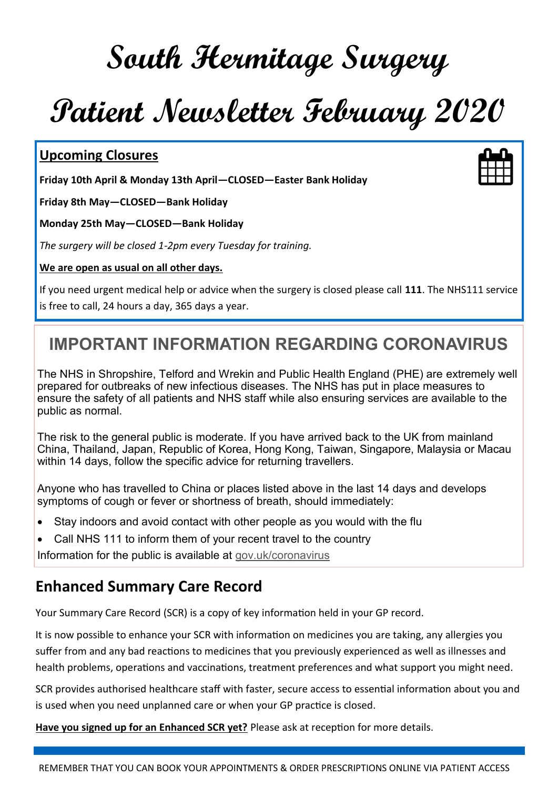# **South Hermitage Surgery**

# **Patient Newsletter February 2020**

#### **Upcoming Closures**

**Friday 10th April & Monday 13th April—CLOSED—Easter Bank Holiday**

**Friday 8th May—CLOSED—Bank Holiday**

**Monday 25th May—CLOSED—Bank Holiday**

*The surgery will be closed 1-2pm every Tuesday for training.* 

#### **We are open as usual on all other days.**

If you need urgent medical help or advice when the surgery is closed please call **111**. The NHS111 service is free to call, 24 hours a day, 365 days a year.

# **IMPORTANT INFORMATION REGARDING CORONAVIRUS**

The NHS in Shropshire, Telford and Wrekin and Public Health England (PHE) are extremely well prepared for outbreaks of new infectious diseases. The NHS has put in place measures to ensure the safety of all patients and NHS staff while also ensuring services are available to the public as normal.

The risk to the general public is moderate. If you have arrived back to the UK from mainland China, Thailand, Japan, Republic of Korea, Hong Kong, Taiwan, Singapore, Malaysia or Macau within 14 days, follow the specific advice for returning travellers.

Anyone who has travelled to China or places listed above in the last 14 days and develops symptoms of cough or fever or shortness of breath, should immediately:

- Stay indoors and avoid contact with other people as you would with the flu
- Call NHS 111 to inform them of your recent travel to the country

Information for the public is available at [gov.uk/coronavirus](https://www.gov.uk/guidance/wuhan-novel-coronavirus-information-for-the-public)

### **Enhanced Summary Care Record**

Your Summary Care Record (SCR) is a copy of key information held in your GP record.

It is now possible to enhance your SCR with information on medicines you are taking, any allergies you suffer from and any bad reactions to medicines that you previously experienced as well as illnesses and health problems, operations and vaccinations, treatment preferences and what support you might need.

SCR provides authorised healthcare staff with faster, secure access to essential information about you and is used when you need unplanned care or when your GP practice is closed.

**Have you signed up for an Enhanced SCR yet?** Please ask at reception for more details.